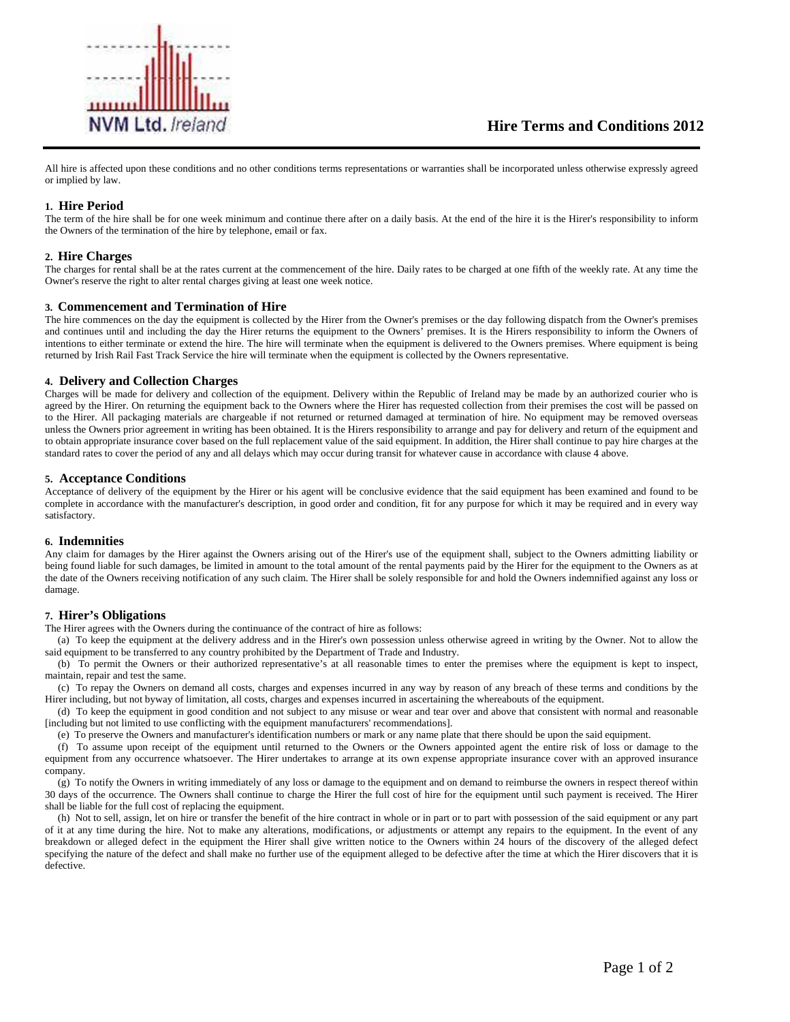

All hire is affected upon these conditions and no other conditions terms representations or warranties shall be incorporated unless otherwise expressly agreed or implied by law.

# **1. Hire Period**

The term of the hire shall be for one week minimum and continue there after on a daily basis. At the end of the hire it is the Hirer's responsibility to inform the Owners of the termination of the hire by telephone, email or fax.

## **2. Hire Charges**

The charges for rental shall be at the rates current at the commencement of the hire. Daily rates to be charged at one fifth of the weekly rate. At any time the Owner's reserve the right to alter rental charges giving at least one week notice.

## **3. Commencement and Termination of Hire**

The hire commences on the day the equipment is collected by the Hirer from the Owner's premises or the day following dispatch from the Owner's premises and continues until and including the day the Hirer returns the equipment to the Owners' premises. It is the Hirers responsibility to inform the Owners of intentions to either terminate or extend the hire. The hire will terminate when the equipment is delivered to the Owners premises. Where equipment is being returned by Irish Rail Fast Track Service the hire will terminate when the equipment is collected by the Owners representative.

### **4. Delivery and Collection Charges**

Charges will be made for delivery and collection of the equipment. Delivery within the Republic of Ireland may be made by an authorized courier who is agreed by the Hirer. On returning the equipment back to the Owners where the Hirer has requested collection from their premises the cost will be passed on to the Hirer. All packaging materials are chargeable if not returned or returned damaged at termination of hire. No equipment may be removed overseas unless the Owners prior agreement in writing has been obtained. It is the Hirers responsibility to arrange and pay for delivery and return of the equipment and to obtain appropriate insurance cover based on the full replacement value of the said equipment. In addition, the Hirer shall continue to pay hire charges at the standard rates to cover the period of any and all delays which may occur during transit for whatever cause in accordance with clause 4 above.

## **5. Acceptance Conditions**

Acceptance of delivery of the equipment by the Hirer or his agent will be conclusive evidence that the said equipment has been examined and found to be complete in accordance with the manufacturer's description, in good order and condition, fit for any purpose for which it may be required and in every way satisfactory.

### **6. Indemnities**

Any claim for damages by the Hirer against the Owners arising out of the Hirer's use of the equipment shall, subject to the Owners admitting liability or being found liable for such damages, be limited in amount to the total amount of the rental payments paid by the Hirer for the equipment to the Owners as at the date of the Owners receiving notification of any such claim. The Hirer shall be solely responsible for and hold the Owners indemnified against any loss or damage.

## **7. Hirer's Obligations**

The Hirer agrees with the Owners during the continuance of the contract of hire as follows:

 (a) To keep the equipment at the delivery address and in the Hirer's own possession unless otherwise agreed in writing by the Owner. Not to allow the said equipment to be transferred to any country prohibited by the Department of Trade and Industry.

 (b) To permit the Owners or their authorized representative's at all reasonable times to enter the premises where the equipment is kept to inspect, maintain, repair and test the same.

 (c) To repay the Owners on demand all costs, charges and expenses incurred in any way by reason of any breach of these terms and conditions by the Hirer including, but not byway of limitation, all costs, charges and expenses incurred in ascertaining the whereabouts of the equipment.

 (d) To keep the equipment in good condition and not subject to any misuse or wear and tear over and above that consistent with normal and reasonable [including but not limited to use conflicting with the equipment manufacturers' recommendations].

(e) To preserve the Owners and manufacturer's identification numbers or mark or any name plate that there should be upon the said equipment.

 (f) To assume upon receipt of the equipment until returned to the Owners or the Owners appointed agent the entire risk of loss or damage to the equipment from any occurrence whatsoever. The Hirer undertakes to arrange at its own expense appropriate insurance cover with an approved insurance company.

 (g) To notify the Owners in writing immediately of any loss or damage to the equipment and on demand to reimburse the owners in respect thereof within 30 days of the occurrence. The Owners shall continue to charge the Hirer the full cost of hire for the equipment until such payment is received. The Hirer shall be liable for the full cost of replacing the equipment.

 (h) Not to sell, assign, let on hire or transfer the benefit of the hire contract in whole or in part or to part with possession of the said equipment or any part of it at any time during the hire. Not to make any alterations, modifications, or adjustments or attempt any repairs to the equipment. In the event of any breakdown or alleged defect in the equipment the Hirer shall give written notice to the Owners within 24 hours of the discovery of the alleged defect specifying the nature of the defect and shall make no further use of the equipment alleged to be defective after the time at which the Hirer discovers that it is defective.